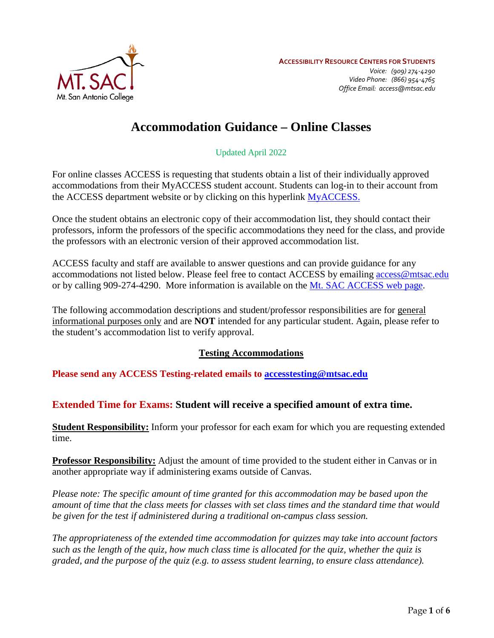

# **Accommodation Guidance – Online Classes**

Updated April 2022

For online classes ACCESS is requesting that students obtain a list of their individually approved accommodations from their MyACCESS student account. Students can log-in to their account from the ACCESS department website or by clicking on this hyperlink [MyACCESS.](https://prodweb.mtsac.edu/prodapex/f?p=MYACCESS)

 Once the student obtains an electronic copy of their accommodation list, they should contact their the professors with an electronic version of their approved accommodation list. professors, inform the professors of the specific accommodations they need for the class, and provide

ACCESS faculty and staff are available to answer questions and can provide guidance for any accommodations not listed below. Please feel free to contact ACCESS by emailing **access@mtsac.edu** or by calling 909-274-4290. More information is available on the [Mt. SAC ACCESS web page.](https://www.mtsac.edu/access/)

 the student's accommodation list to verify approval. The following accommodation descriptions and student/professor responsibilities are for general informational purposes only and are **NOT** intended for any particular student. Again, please refer to

#### **Testing Accommodations**

**Please send any ACCESS Testing-related emails to [accesstesting@mtsac.edu](mailto:accesstesting@mtsac.edu)** 

# **Extended Time for Exams: Student will receive a specified amount of extra time.**

**Student Responsibility:** Inform your professor for each exam for which you are requesting extended time.

**Professor Responsibility:** Adjust the amount of time provided to the student either in Canvas or in another appropriate way if administering exams outside of Canvas.

*Please note: The specific amount of time granted for this accommodation may be based upon the amount of time that the class meets for classes with set class times and the standard time that would be given for the test if administered during a traditional on-campus class session.* 

*The appropriateness of the extended time accommodation for quizzes may take into account factors such as the length of the quiz, how much class time is allocated for the quiz, whether the quiz is graded, and the purpose of the quiz (e.g. to assess student learning, to ensure class attendance).*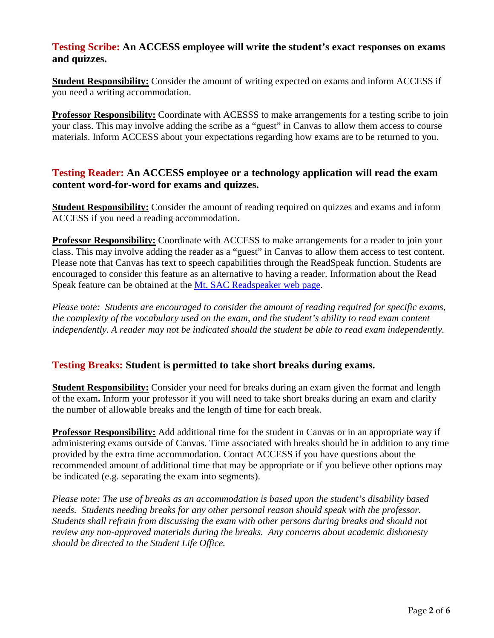#### **Testing Scribe: An ACCESS employee will write the student's exact responses on exams and quizzes.**

 **Student Responsibility:** Consider the amount of writing expected on exams and inform ACCESS if you need a writing accommodation.

 your class. This may involve adding the scribe as a "guest" in Canvas to allow them access to course **Professor Responsibility:** Coordinate with ACESSS to make arrangements for a testing scribe to join materials. Inform ACCESS about your expectations regarding how exams are to be returned to you.

### **Testing Reader: An ACCESS employee or a technology application will read the exam content word-for-word for exams and quizzes.**

 ACCESS if you need a reading accommodation. **Student Responsibility:** Consider the amount of reading required on quizzes and exams and inform

 **Professor Responsibility:** Coordinate with ACCESS to make arrangements for a reader to join your class. This may involve adding the reader as a "guest" in Canvas to allow them access to test content. Please note that Canvas has text to speech capabilities through the ReadSpeak function. Students are encouraged to consider this feature as an alternative to having a reader. Information about the Read Speak feature can be obtained at the [Mt. SAC Readspeaker web page.](https://www.mtsac.edu/accessibility/readspeaker/index.html)

 *the complexity of the vocabulary used on the exam, and the student's ability to read exam content Please note: Students are encouraged to consider the amount of reading required for specific exams, independently. A reader may not be indicated should the student be able to read exam independently.* 

# **Testing Breaks: Student is permitted to take short breaks during exams.**

**Student Responsibility:** Consider your need for breaks during an exam given the format and length of the exam**.** Inform your professor if you will need to take short breaks during an exam and clarify the number of allowable breaks and the length of time for each break.

 provided by the extra time accommodation. Contact ACCESS if you have questions about the **Professor Responsibility:** Add additional time for the student in Canvas or in an appropriate way if administering exams outside of Canvas. Time associated with breaks should be in addition to any time recommended amount of additional time that may be appropriate or if you believe other options may be indicated (e.g. separating the exam into segments).

*Please note: The use of breaks as an accommodation is based upon the student's disability based needs. Students needing breaks for any other personal reason should speak with the professor. Students shall refrain from discussing the exam with other persons during breaks and should not review any non-approved materials during the breaks. Any concerns about academic dishonesty should be directed to the Student Life Office.*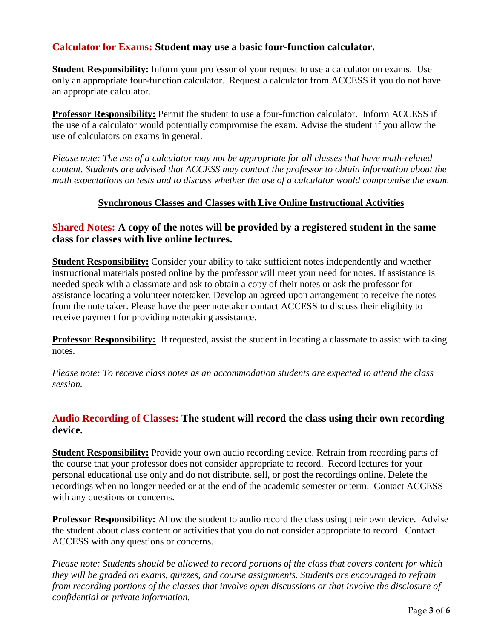# **Calculator for Exams: Student may use a basic four-function calculator.**

Student Responsibility: Inform your professor of your request to use a calculator on exams. Use an appropriate calculator. only an appropriate four-function calculator. Request a calculator from ACCESS if you do not have

**Professor Responsibility:** Permit the student to use a four-function calculator. Inform ACCESS if the use of a calculator would potentially compromise the exam. Advise the student if you allow the use of calculators on exams in general.

*Please note: The use of a calculator may not be appropriate for all classes that have math-related content. Students are advised that ACCESS may contact the professor to obtain information about the math expectations on tests and to discuss whether the use of a calculator would compromise the exam.* 

#### **Synchronous Classes and Classes with Live Online Instructional Activities**

#### **Shared Notes: A copy of the notes will be provided by a registered student in the same class for classes with live online lectures.**

 **Student Responsibility:** Consider your ability to take sufficient notes independently and whether needed speak with a classmate and ask to obtain a copy of their notes or ask the professor for instructional materials posted online by the professor will meet your need for notes. If assistance is assistance locating a volunteer notetaker. Develop an agreed upon arrangement to receive the notes from the note taker. Please have the peer notetaker contact ACCESS to discuss their eligibity to receive payment for providing notetaking assistance.

**Professor Responsibility:** If requested, assist the student in locating a classmate to assist with taking notes.

*Please note: To receive class notes as an accommodation students are expected to attend the class session.* 

### **Audio Recording of Classes: The student will record the class using their own recording device.**

 the course that your professor does not consider appropriate to record. Record lectures for your **Student Responsibility:** Provide your own audio recording device. Refrain from recording parts of personal educational use only and do not distribute, sell, or post the recordings online. Delete the recordings when no longer needed or at the end of the academic semester or term. Contact ACCESS with any questions or concerns.

**Professor Responsibility:** Allow the student to audio record the class using their own device. Advise the student about class content or activities that you do not consider appropriate to record. Contact ACCESS with any questions or concerns.

*Please note: Students should be allowed to record portions of the class that covers content for which they will be graded on exams, quizzes, and course assignments. Students are encouraged to refrain from recording portions of the classes that involve open discussions or that involve the disclosure of confidential or private information.*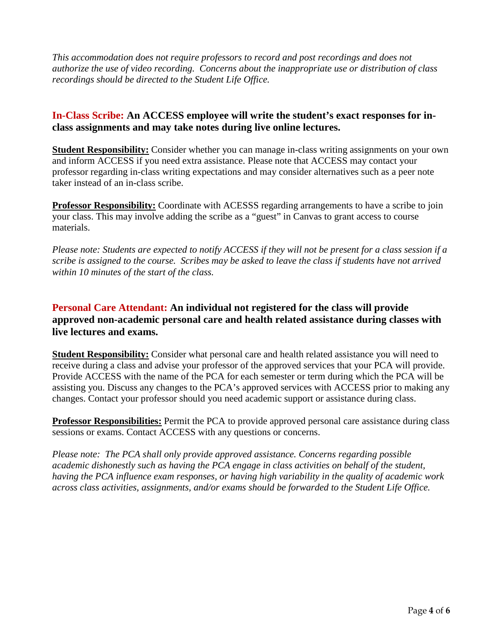*This accommodation does not require professors to record and post recordings and does not authorize the use of video recording. Concerns about the inappropriate use or distribution of class recordings should be directed to the Student Life Office.* 

### **In-Class Scribe: An ACCESS employee will write the student's exact responses for inclass assignments and may take notes during live online lectures.**

 and inform ACCESS if you need extra assistance. Please note that ACCESS may contact your **Student Responsibility:** Consider whether you can manage in-class writing assignments on your own professor regarding in-class writing expectations and may consider alternatives such as a peer note taker instead of an in-class scribe.

 your class. This may involve adding the scribe as a "guest" in Canvas to grant access to course **Professor Responsibility:** Coordinate with ACESSS regarding arrangements to have a scribe to join materials.

*Please note: Students are expected to notify ACCESS if they will not be present for a class session if a scribe is assigned to the course. Scribes may be asked to leave the class if students have not arrived within 10 minutes of the start of the class.* 

# **Personal Care Attendant: An individual not registered for the class will provide approved non-academic personal care and health related assistance during classes with live lectures and exams.**

**Student Responsibility:** Consider what personal care and health related assistance you will need to receive during a class and advise your professor of the approved services that your PCA will provide. Provide ACCESS with the name of the PCA for each semester or term during which the PCA will be assisting you. Discuss any changes to the PCA's approved services with ACCESS prior to making any changes. Contact your professor should you need academic support or assistance during class.

**Professor Responsibilities:** Permit the PCA to provide approved personal care assistance during class sessions or exams. Contact ACCESS with any questions or concerns.

*Please note: The PCA shall only provide approved assistance. Concerns regarding possible academic dishonestly such as having the PCA engage in class activities on behalf of the student, having the PCA influence exam responses, or having high variability in the quality of academic work across class activities, assignments, and/or exams should be forwarded to the Student Life Office.*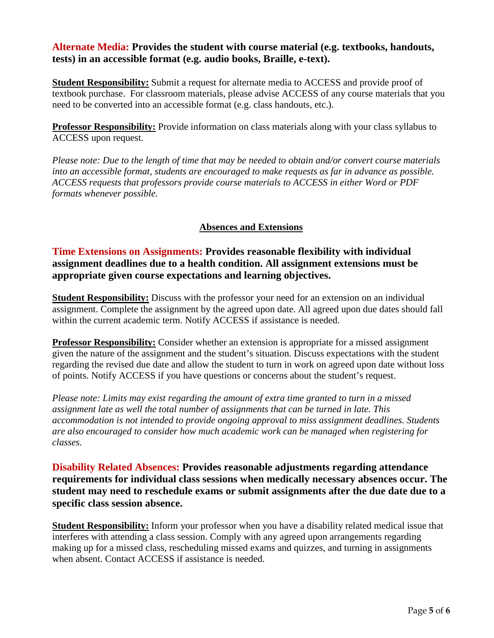#### **Alternate Media: Provides the student with course material (e.g. textbooks, handouts, tests) in an accessible format (e.g. audio books, Braille, e-text).**

 need to be converted into an accessible format (e.g. class handouts, etc.). **Student Responsibility:** Submit a request for alternate media to ACCESS and provide proof of textbook purchase. For classroom materials, please advise ACCESS of any course materials that you

**Professor Responsibility:** Provide information on class materials along with your class syllabus to ACCESS upon request.

*Please note: Due to the length of time that may be needed to obtain and/or convert course materials into an accessible format, students are encouraged to make requests as far in advance as possible. ACCESS requests that professors provide course materials to ACCESS in either Word or PDF formats whenever possible.* 

#### **Absences and Extensions**

**Time Extensions on Assignments: Provides reasonable flexibility with individual assignment deadlines due to a health condition. All assignment extensions must be appropriate given course expectations and learning objectives.** 

**Student Responsibility:** Discuss with the professor your need for an extension on an individual assignment. Complete the assignment by the agreed upon date. All agreed upon due dates should fall within the current academic term. Notify ACCESS if assistance is needed.

**Professor Responsibility:** Consider whether an extension is appropriate for a missed assignment given the nature of the assignment and the student's situation. Discuss expectations with the student regarding the revised due date and allow the student to turn in work on agreed upon date without loss of points. Notify ACCESS if you have questions or concerns about the student's request.

 *assignment late as well the total number of assignments that can be turned in late. This accommodation is not intended to provide ongoing approval to miss assignment deadlines. Students Please note: Limits may exist regarding the amount of extra time granted to turn in a missed are also encouraged to consider how much academic work can be managed when registering for classes.* 

**Disability Related Absences: Provides reasonable adjustments regarding attendance requirements for individual class sessions when medically necessary absences occur. The student may need to reschedule exams or submit assignments after the due date due to a specific class session absence.** 

 interferes with attending a class session. Comply with any agreed upon arrangements regarding **Student Responsibility:** Inform your professor when you have a disability related medical issue that making up for a missed class, rescheduling missed exams and quizzes, and turning in assignments when absent. Contact ACCESS if assistance is needed.